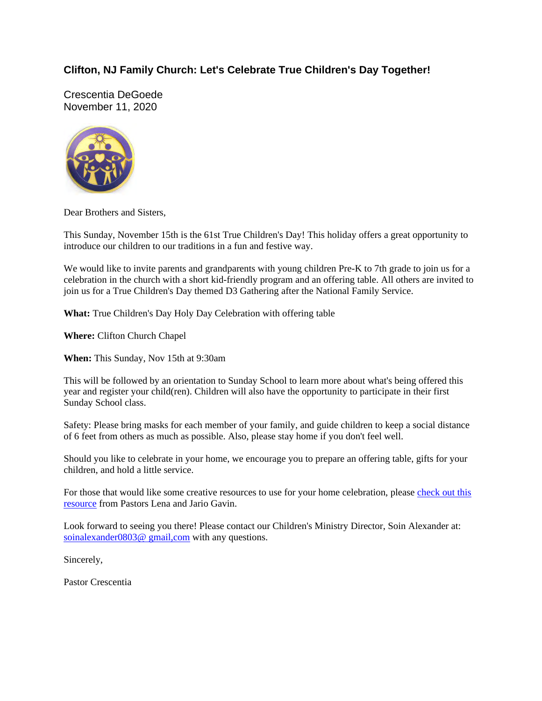# **Clifton, NJ Family Church: Let's Celebrate True Children's Day Together!**

Crescentia DeGoede November 11, 2020



Dear Brothers and Sisters,

This Sunday, November 15th is the 61st True Children's Day! This holiday offers a great opportunity to introduce our children to our traditions in a fun and festive way.

We would like to invite parents and grandparents with young children Pre-K to 7th grade to join us for a celebration in the church with a short kid-friendly program and an offering table. All others are invited to join us for a True Children's Day themed D3 Gathering after the National Family Service.

**What:** True Children's Day Holy Day Celebration with offering table

**Where:** Clifton Church Chapel

**When:** This Sunday, Nov 15th at 9:30am

This will be followed by an orientation to Sunday School to learn more about what's being offered this year and register your child(ren). Children will also have the opportunity to participate in their first Sunday School class.

Safety: Please bring masks for each member of your family, and guide children to keep a social distance of 6 feet from others as much as possible. Also, please stay home if you don't feel well.

Should you like to celebrate in your home, we encourage you to prepare an offering table, gifts for your children, and hold a little service.

For those that would like some creative resources to use for your home celebration, please check out this resource from Pastors Lena and Jario Gavin.

Look forward to seeing you there! Please contact our Children's Ministry Director, Soin Alexander at: soinalexander0803@ gmail,com with any questions.

Sincerely,

Pastor Crescentia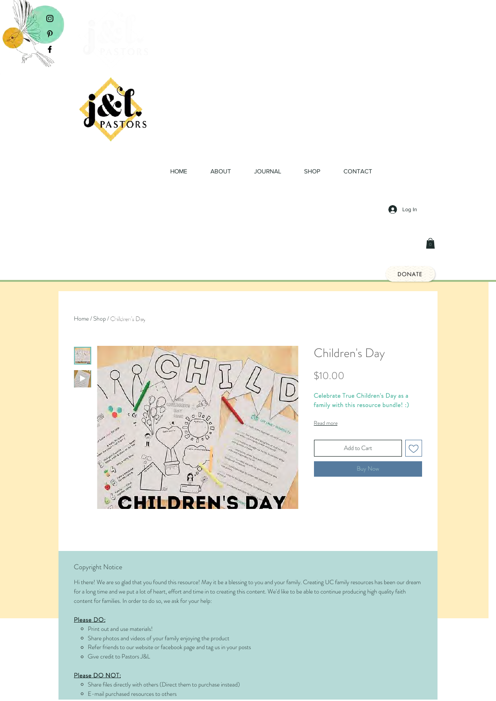



| <b>HOME</b> | ABOUT | <b>JOURNAL</b> | SHOP | CONTACT |                                 |  |
|-------------|-------|----------------|------|---------|---------------------------------|--|
|             |       |                |      |         |                                 |  |
|             |       |                |      |         |                                 |  |
|             |       |                |      |         | $\boldsymbol{\Theta}$<br>Log In |  |
|             |       |                |      |         |                                 |  |
|             |       |                |      |         | $\left  \hat{0} \right $        |  |
|             |       |                |      |         |                                 |  |
|             |       |                |      |         | <b>DONATE</b>                   |  |
|             |       |                |      |         |                                 |  |

Home / Shop / Children's Day



# Children's Day

## \$10.00

Celebrate True Children's Day as a family with this resource bundle! :)

Read more



## Copyright Notice

Hi there! We are so glad that you found this resource! May it be a blessing to you and your family. Creating UC family resources has been our dream for a long time and we put a lot of heart, effort and time in to creating this content. We'd like to be able to continue producing high quality faith content for families. In order to do so, we ask for your help:

### Please DO:

- Print out and use materials!
- $\circ$  Share photos and videos of your family enjoying the product
- Refer friends to our website or facebook page and tag us in your posts
- Give credit to Pastors J&L

#### Please DO NOT:

- <sup>o</sup> Share files directly with others (Direct them to purchase instead)
- E-mail purchased resources to others